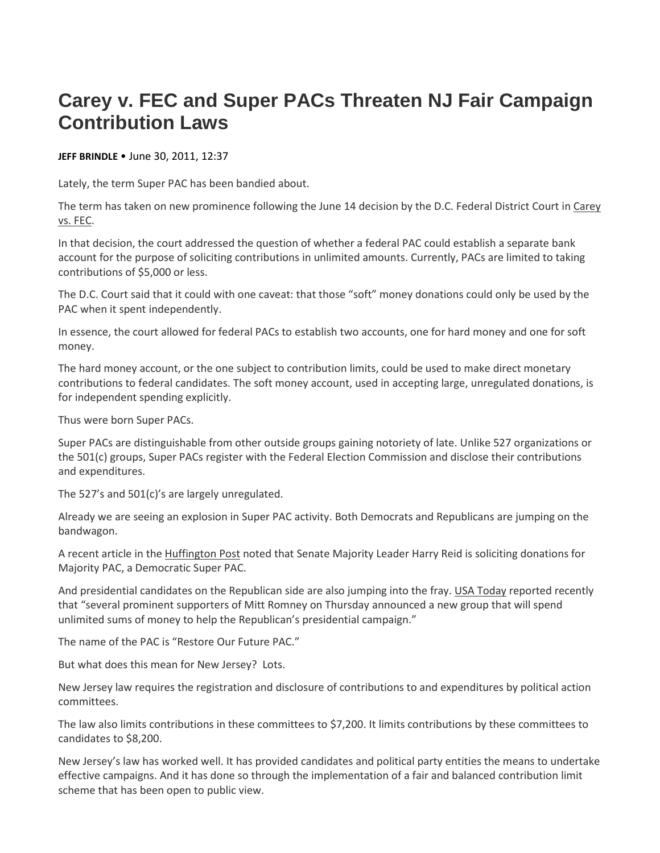## **Carey v. FEC and Super PACs Threaten NJ Fair Campaign Contribution Laws**

## **JEFF BRINDLE** • June 30, 2011, 12:37

Lately, the term Super PAC has been bandied about.

The term has taken on new prominence following the June 14 decision by the D.C. Federal District Court in Carey vs. FEC.

In that decision, the court addressed the question of whether a federal PAC could establish a separate bank account for the purpose of soliciting contributions in unlimited amounts. Currently, PACs are limited to taking contributions of \$5,000 or less.

The D.C. Court said that it could with one caveat: that those "soft" money donations could only be used by the PAC when it spent independently.

In essence, the court allowed for federal PACs to establish two accounts, one for hard money and one for soft money.

The hard money account, or the one subject to contribution limits, could be used to make direct monetary contributions to federal candidates. The soft money account, used in accepting large, unregulated donations, is for independent spending explicitly.

Thus were born Super PACs.

Super PACs are distinguishable from other outside groups gaining notoriety of late. Unlike 527 organizations or the 501(c) groups, Super PACs register with the Federal Election Commission and disclose their contributions and expenditures.

The 527's and 501(c)'s are largely unregulated.

Already we are seeing an explosion in Super PAC activity. Both Democrats and Republicans are jumping on the bandwagon.

A recent article in the Huffington Post noted that Senate Majority Leader Harry Reid is soliciting donations for Majority PAC, a Democratic Super PAC.

And presidential candidates on the Republican side are also jumping into the fray. USA Today reported recently that "several prominent supporters of Mitt Romney on Thursday announced a new group that will spend unlimited sums of money to help the Republican's presidential campaign."

The name of the PAC is "Restore Our Future PAC."

But what does this mean for New Jersey? Lots.

New Jersey law requires the registration and disclosure of contributions to and expenditures by political action committees.

The law also limits contributions in these committees to \$7,200. It limits contributions by these committees to candidates to \$8,200.

New Jersey's law has worked well. It has provided candidates and political party entities the means to undertake effective campaigns. And it has done so through the implementation of a fair and balanced contribution limit scheme that has been open to public view.